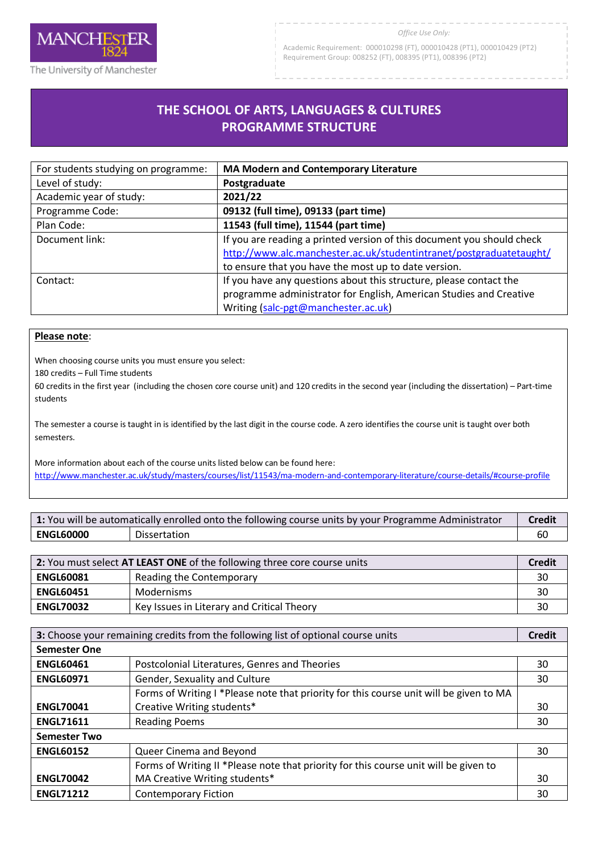

Academic Requirement: 000010298 (FT), 000010428 (PT1), 000010429 (PT2) Requirement Group: 008252 (FT), 008395 (PT1), 008396 (PT2)

## **THE SCHOOL OF ARTS, LANGUAGES & CULTURES PROGRAMME STRUCTURE**

R

| For students studying on programme: | <b>MA Modern and Contemporary Literature</b>                           |
|-------------------------------------|------------------------------------------------------------------------|
| Level of study:                     | Postgraduate                                                           |
| Academic year of study:             | 2021/22                                                                |
| Programme Code:                     | 09132 (full time), 09133 (part time)                                   |
| Plan Code:                          | 11543 (full time), 11544 (part time)                                   |
| Document link:                      | If you are reading a printed version of this document you should check |
|                                     | http://www.alc.manchester.ac.uk/studentintranet/postgraduatetaught/    |
|                                     | to ensure that you have the most up to date version.                   |
| Contact:                            | If you have any questions about this structure, please contact the     |
|                                     | programme administrator for English, American Studies and Creative     |
|                                     | Writing (salc-pgt@manchester.ac.uk)                                    |

## **Please note**:

When choosing course units you must ensure you select:

180 credits – Full Time students

60 credits in the first year (including the chosen core course unit) and 120 credits in the second year (including the dissertation) – Part-time students

The semester a course is taught in is identified by the last digit in the course code. A zero identifies the course unit is taught over both semesters.

More information about each of the course units listed below can be found here: <http://www.manchester.ac.uk/study/masters/courses/list/11543/ma-modern-and-contemporary-literature/course-details/#course-profile>

| 1: You will be automatically enrolled onto the following course units by your Programme Administrator |              | Credit |
|-------------------------------------------------------------------------------------------------------|--------------|--------|
| <b>ENGL60000</b>                                                                                      | Dissertation | 60     |

| 2: You must select AT LEAST ONE of the following three core course units |                                            | <b>Credit</b> |
|--------------------------------------------------------------------------|--------------------------------------------|---------------|
| <b>ENGL60081</b>                                                         | Reading the Contemporary                   | 30            |
| <b>ENGL60451</b>                                                         | Modernisms                                 | 30            |
| <b>ENGL70032</b>                                                         | Key Issues in Literary and Critical Theory | 30            |

| 3: Choose your remaining credits from the following list of optional course units |                                                                                        | <b>Credit</b> |
|-----------------------------------------------------------------------------------|----------------------------------------------------------------------------------------|---------------|
| <b>Semester One</b>                                                               |                                                                                        |               |
| <b>ENGL60461</b>                                                                  | Postcolonial Literatures, Genres and Theories                                          | 30            |
| <b>ENGL60971</b>                                                                  | Gender, Sexuality and Culture                                                          | 30            |
|                                                                                   | Forms of Writing I *Please note that priority for this course unit will be given to MA |               |
| <b>ENGL70041</b>                                                                  | Creative Writing students*                                                             | 30            |
| <b>ENGL71611</b>                                                                  | <b>Reading Poems</b>                                                                   | 30            |
| <b>Semester Two</b>                                                               |                                                                                        |               |
| <b>ENGL60152</b>                                                                  | Queer Cinema and Beyond                                                                | 30            |
|                                                                                   | Forms of Writing II *Please note that priority for this course unit will be given to   |               |
| <b>ENGL70042</b>                                                                  | MA Creative Writing students*                                                          | 30            |
| <b>ENGL71212</b>                                                                  | <b>Contemporary Fiction</b>                                                            | 30            |